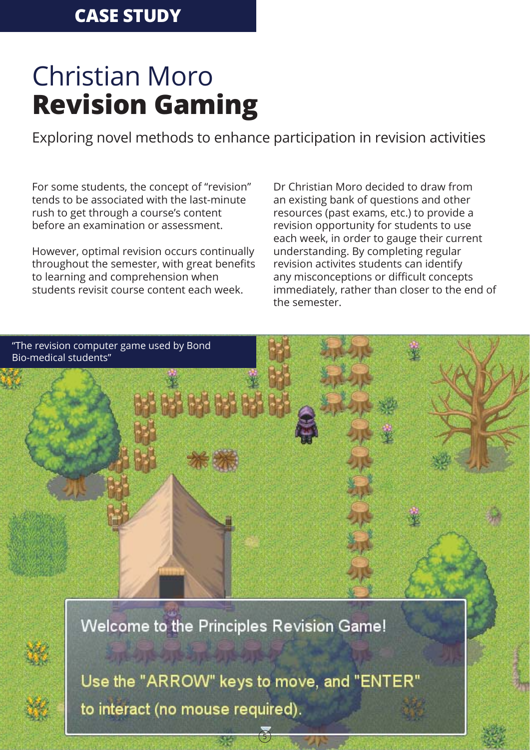## Christian Moro **Revision Gaming**

Exploring novel methods to enhance participation in revision activities

For some students, the concept of "revision" tends to be associated with the last-minute rush to get through a course's content before an examination or assessment.

However, optimal revision occurs continually throughout the semester, with great benefits to learning and comprehension when students revisit course content each week.

Dr Christian Moro decided to draw from an existing bank of questions and other resources (past exams, etc.) to provide a revision opportunity for students to use each week, in order to gauge their current understanding. By completing regular revision activites students can identify any misconceptions or difficult concepts immediately, rather than closer to the end of the semester.

"The revision computer game used by Bond Bio-medical students"

Welcome to the Principles Revision Game!



Use the "ARROW" keys to move, and "ENTER" to interact (no mouse required).

5